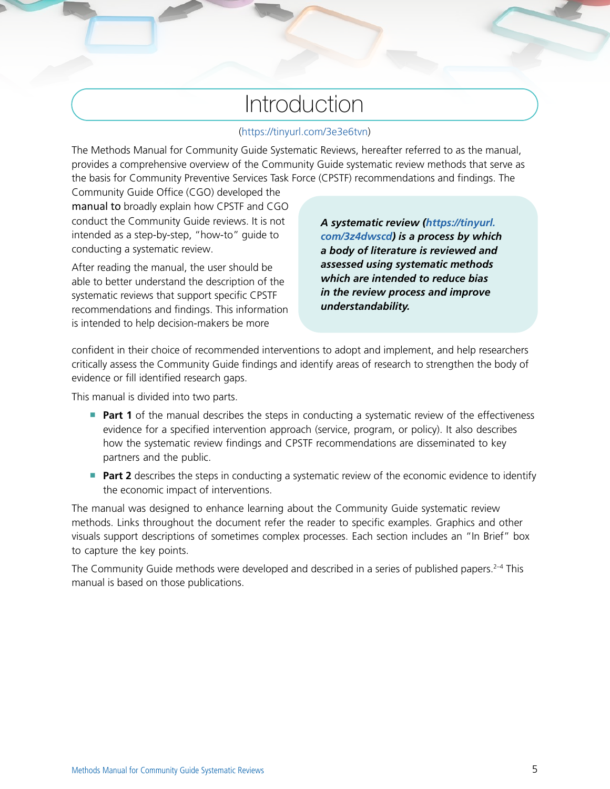## Introduction

## (<https://tinyurl.com/3e3e6tvn>)

The Methods Manual for Community Guide Systematic Reviews, hereafter referred to as the manual, provides a comprehensive overview of the Community Guide systematic review methods that serve as the basis for Community Preventive Services Task Force (CPSTF) recommendations and findings. The

Community Guide Office (CGO) developed the manual to broadly explain how CPSTF and CGO conduct the Community Guide reviews. It is not intended as a step-by-step, "how-to" guide to conducting a systematic review.

After reading the manual, the user should be able to better understand the description of the systematic reviews that support specific CPSTF recommendations and findings. This information is intended to help decision-makers be more

*A systematic review ([https://tinyurl.](https://tinyurl.com/3z4dwscd) [com/3z4dwscd\)](https://tinyurl.com/3z4dwscd) is a process by which a body of literature is reviewed and assessed using systematic methods which are intended to reduce bias in the review process and improve understandability.*

confident in their choice of recommended interventions to adopt and implement, and help researchers critically assess the Community Guide findings and identify areas of research to strengthen the body of evidence or fill identified research gaps.

This manual is divided into two parts.

- **Part 1** of the manual describes the steps in conducting a systematic review of the effectiveness evidence for a specified intervention approach (service, program, or policy). It also describes how the systematic review findings and CPSTF recommendations are disseminated to key partners and the public.
- **Part 2** describes the steps in conducting a systematic review of the economic evidence to identify the economic impact of interventions.

The manual was designed to enhance learning about the Community Guide systematic review methods. Links throughout the document refer the reader to specific examples. Graphics and other visuals support descriptions of sometimes complex processes. Each section includes an "In Brief" box to capture the key points.

The Community Guide methods were developed and described in a series of published papers.<sup>2-4</sup> This manual is based on those publications.